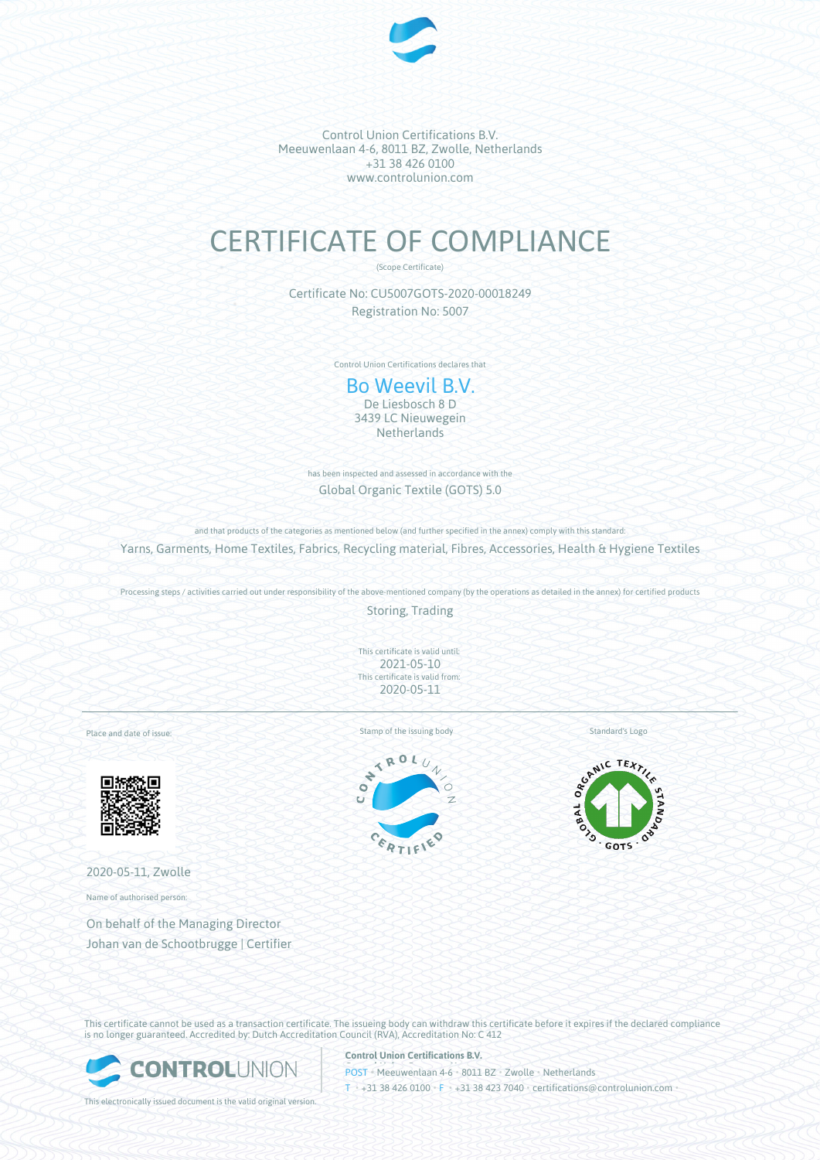

## CERTIFICATE OF COMPLIANCE

(Scope Certificate)

Certificate No: CU5007GOTS-2020-00018249 Registration No: 5007

Control Union Certifications declares that

Bo Weevil B.V. De Liesbosch 8 D 3439 LC Nieuwegein **Netherlands** 

has been inspected and assessed in accordance with the Global Organic Textile (GOTS) 5.0

and that products of the categories as mentioned below (and further specified in the annex) comply with this standard: Yarns, Garments, Home Textiles, Fabrics, Recycling material, Fibres, Accessories, Health & Hygiene Textiles

Processing steps / activities carried out under responsibility of the above-mentioned company (by the operations as detailed in the annex) for certified products

Storing, Trading

This certificate is valid until: 2021-05-10 This certificate is valid from: 2020-05-11

Place and date of issue:



2020-05-11, Zwolle

Name of authorised person:

On behalf of the Managing Director Johan van de Schootbrugge | Certifier Stamp of the issuing body Standard's Logo





This certificate cannot be used as a transaction certificate. The issueing body can withdraw this certificate before it expires if the declared compliance is no longer guaranteed. Accredited by: Dutch Accreditation Council (RVA), Accreditation No: C 412



**Control Union Certifications B.V.**

POST • Meeuwenlaan 4-6 • 8011 BZ • Zwolle • Netherlands T • +31 38 426 0100 • F • +31 38 423 7040 • certifications@controlunion.com •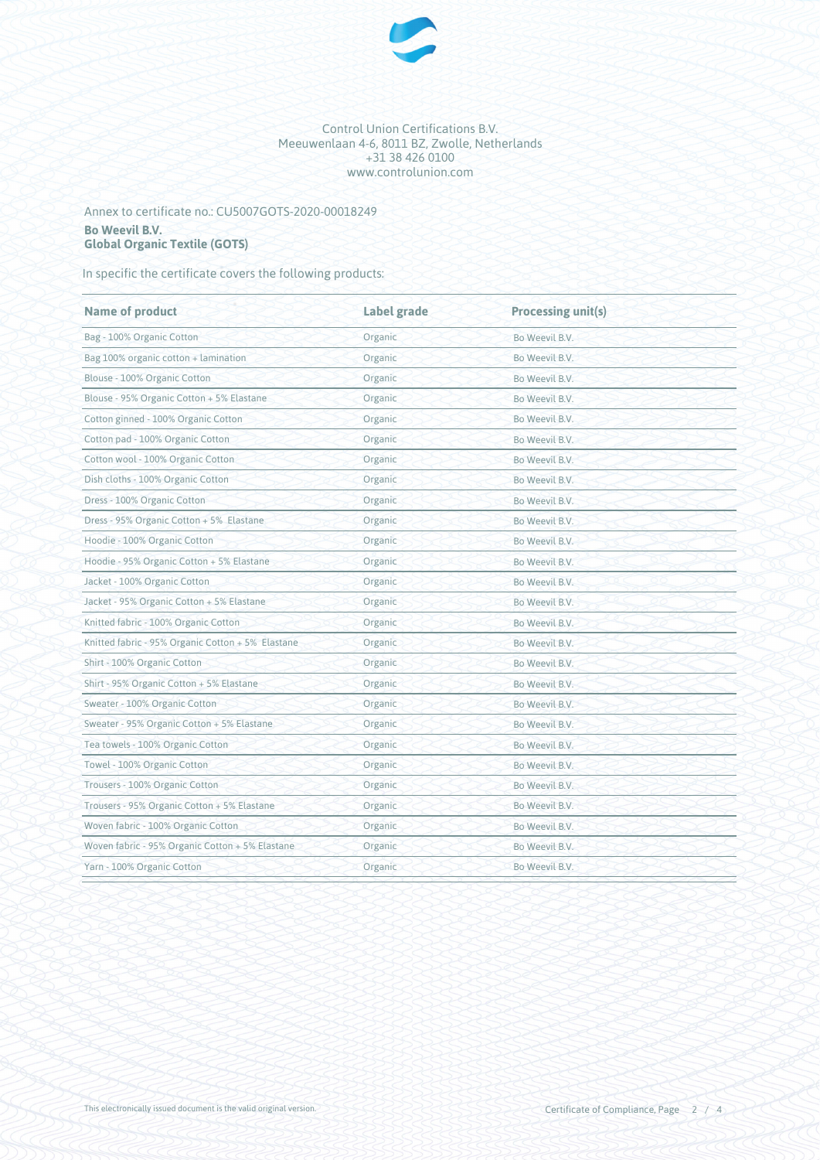

## Annex to certificate no.: CU5007GOTS-2020-00018249 **Bo Weevil B.V. Global Organic Textile (GOTS)**

In specific the certificate covers the following products:

| <b>Name of product</b>                            | Label grade | <b>Processing unit(s)</b> |  |
|---------------------------------------------------|-------------|---------------------------|--|
| Bag - 100% Organic Cotton                         | Organic     | Bo Weevil B.V.            |  |
| Bag 100% organic cotton + lamination              | Organic     | Bo Weevil B.V.            |  |
| Blouse - 100% Organic Cotton                      | Organic     | Bo Weevil B.V.            |  |
| Blouse - 95% Organic Cotton + 5% Elastane         | Organic     | Bo Weevil B.V.            |  |
| Cotton ginned - 100% Organic Cotton               | Organic     | Bo Weevil B.V.            |  |
| Cotton pad - 100% Organic Cotton                  | Organic     | Bo Weevil B.V.            |  |
| Cotton wool - 100% Organic Cotton                 | Organic     | Bo Weevil B.V.            |  |
| Dish cloths - 100% Organic Cotton                 | Organic     | Bo Weevil B.V.            |  |
| Dress - 100% Organic Cotton                       | Organic     | Bo Weevil B.V.            |  |
| Dress - 95% Organic Cotton + 5% Elastane          | Organic     | Bo Weevil B.V.            |  |
| Hoodie - 100% Organic Cotton                      | Organic     | Bo Weevil B.V.            |  |
| Hoodie - 95% Organic Cotton + 5% Elastane         | Organic     | Bo Weevil B.V.            |  |
| Jacket - 100% Organic Cotton                      | Organic     | Bo Weevil B.V.            |  |
| Jacket - 95% Organic Cotton + 5% Elastane         | Organic     | Bo Weevil B.V.            |  |
| Knitted fabric - 100% Organic Cotton              | Organic     | Bo Weevil B.V.            |  |
| Knitted fabric - 95% Organic Cotton + 5% Elastane | Organic     | Bo Weevil B.V.            |  |
| Shirt - 100% Organic Cotton                       | Organic     | Bo Weevil B.V.            |  |
| Shirt - 95% Organic Cotton + 5% Elastane          | Organic     | Bo Weevil B.V.            |  |
| Sweater - 100% Organic Cotton                     | Organic     | Bo Weevil B.V.            |  |
| Sweater - 95% Organic Cotton + 5% Elastane        | Organic     | Bo Weevil B.V.            |  |
| Tea towels - 100% Organic Cotton                  | Organic     | Bo Weevil B.V.            |  |
| Towel - 100% Organic Cotton                       | Organic     | Bo Weevil B.V.            |  |
| Trousers - 100% Organic Cotton                    | Organic     | Bo Weevil B.V.            |  |
| Trousers - 95% Organic Cotton + 5% Elastane       | Organic     | Bo Weevil B.V.            |  |
| Woven fabric - 100% Organic Cotton                | Organic     | Bo Weevil B.V.            |  |
| Woven fabric - 95% Organic Cotton + 5% Elastane   | Organic     | Bo Weevil B.V.            |  |
| Yarn - 100% Organic Cotton                        | Organic     | Bo Weevil B.V.            |  |
|                                                   |             |                           |  |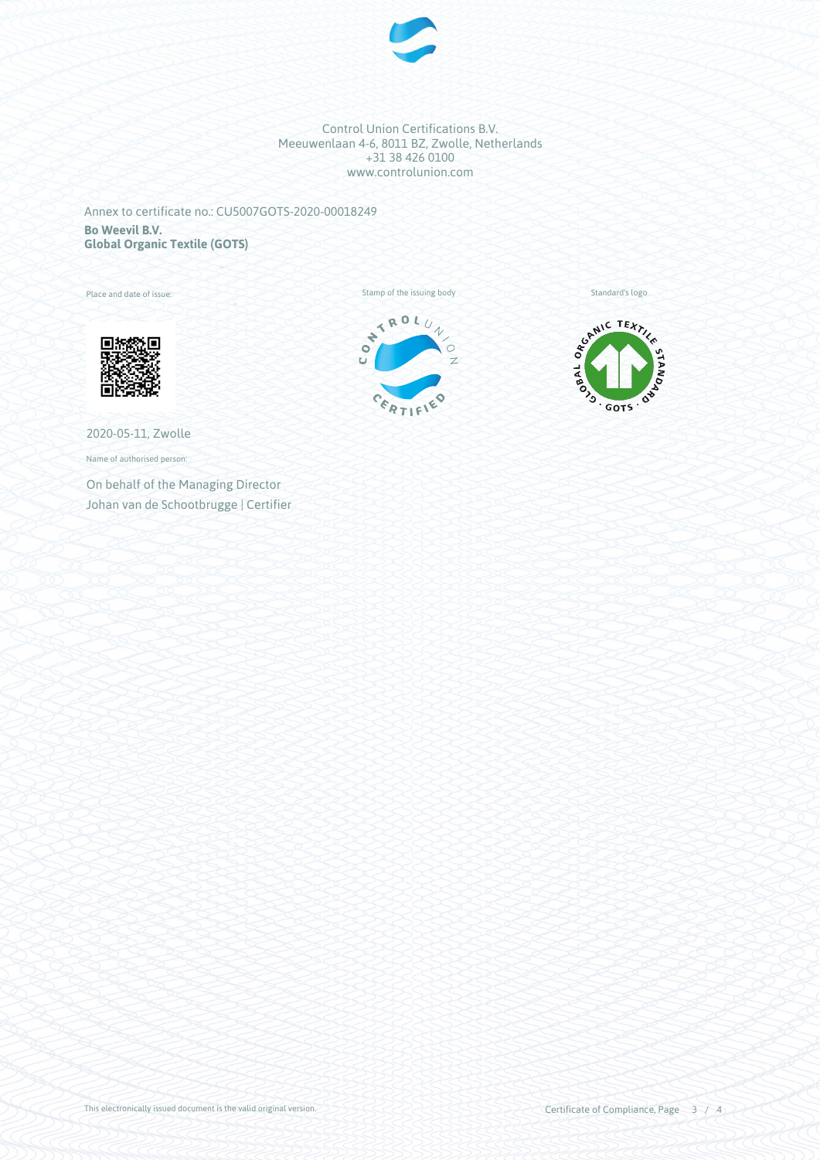

Annex to certificate no.: CU5007GOTS-2020-00018249 **Bo Weevil B.V. Global Organic Textile (GOTS)**

Place and date of issue:







2020-05-11, Zwolle

Name of authorised person:

On behalf of the Managing Director Johan van de Schootbrugge | Certifier